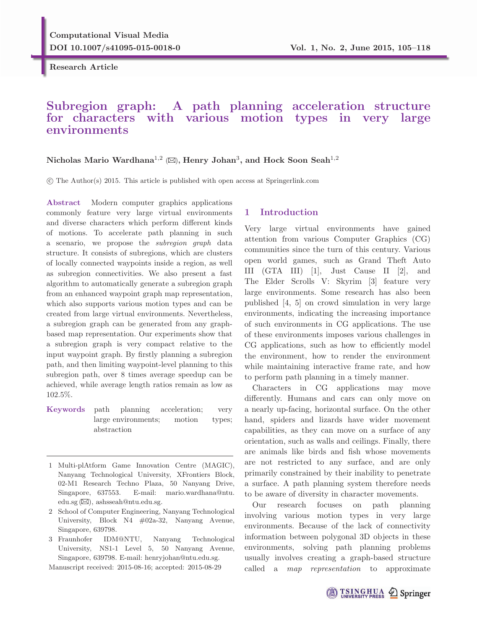**Research Article**

# **Subregion graph: A path planning acceleration structure for characters with various motion types in very large environments**

## **Nicholas Mario Wardhana**1,<sup>2</sup> ()**, Henry Johan**3**, and Hock Soon Seah**1,<sup>2</sup>

-c The Author(s) 2015. This article is published with open access at Springerlink.com

**Abstract** Modern computer graphics applications commonly feature very large virtual environments and diverse characters which perform different kinds of motions. To accelerate path planning in such a scenario, we propose the subregion graph data structure. It consists of subregions, which are clusters of locally connected waypoints inside a region, as well as subregion connectivities. We also present a fast algorithm to automatically generate a subregion graph from an enhanced waypoint graph map representation, which also supports various motion types and can be created from large virtual environments. Nevertheless, a subregion graph can be generated from any graphbased map representation. Our experiments show that a subregion graph is very compact relative to the input waypoint graph. By firstly planning a subregion path, and then limiting waypoint-level planning to this subregion path, over 8 times average speedup can be achieved, while average length ratios remain as low as 102.5%.

**Keywords** path planning acceleration; very large environments; motion types; abstraction

- 2 School of Computer Engineering, Nanyang Technological University, Block N4 #02a-32, Nanyang Avenue, Singapore, 639798.
- 3 Fraunhofer IDM@NTU, Nanyang Technological University, NS1-1 Level 5, 50 Nanyang Avenue, Singapore, 639798. E-mail: henryjohan@ntu.edu.sg.

Manuscript received: 2015-08-16; accepted: 2015-08-29

## **1 Introduction**

Very large virtual environments have gained attention from various Computer Graphics (CG) communities since the turn of this century. Various open world games, such as Grand Theft Auto III (GTA III) [1], Just Cause II [2], and The Elder Scrolls V: Skyrim [3] feature very large environments. Some research has also been published [4, 5] on crowd simulation in very large environments, indicating the increasing importance of such environments in CG applications. The use of these environments imposes various challenges in CG applications, such as how to efficiently model the environment, how to render the environment while maintaining interactive frame rate, and how to perform path planning in a timely manner.

Characters in CG applications may move differently. Humans and cars can only move on a nearly up-facing, horizontal surface. On the other hand, spiders and lizards have wider movement capabilities, as they can move on a surface of any orientation, such as walls and ceilings. Finally, there are animals like birds and fish whose movements are not restricted to any surface, and are only primarily constrained by their inability to penetrate a surface. A path planning system therefore needs to be aware of diversity in character movements.

Our research focuses on path planning involving various motion types in very large environments. Because of the lack of connectivity information between polygonal 3D objects in these environments, solving path planning problems usually involves creating a graph-based structure called a map representation to approximate



<sup>1</sup> Multi-plAtform Game Innovation Centre (MAGIC), Nanyang Technological University, XFrontiers Block, 02-M1 Research Techno Plaza, 50 Nanyang Drive, Singapore, 637553. E-mail: mario.wardhana@ntu. edu.sg  $(\boxtimes)$ , ashsseah@ntu.edu.sg.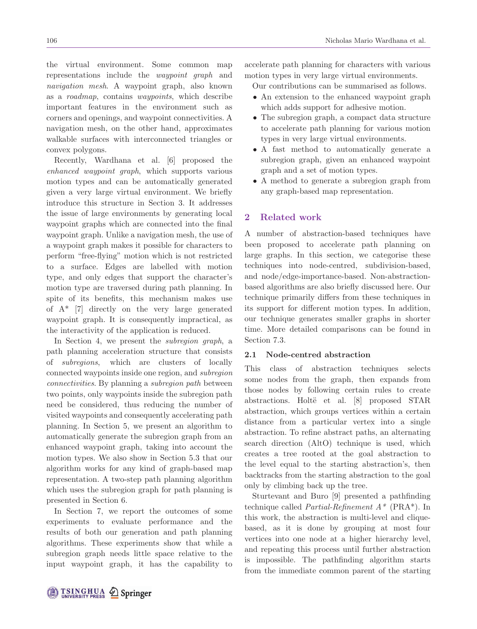the virtual environment. Some common map representations include the waypoint graph and navigation mesh. A waypoint graph, also known as a roadmap, contains waypoints, which describe important features in the environment such as corners and openings, and waypoint connectivities. A navigation mesh, on the other hand, approximates walkable surfaces with interconnected triangles or convex polygons.

Recently, Wardhana et al. [6] proposed the enhanced waypoint graph, which supports various motion types and can be automatically generated given a very large virtual environment. We briefly introduce this structure in Section 3. It addresses the issue of large environments by generating local waypoint graphs which are connected into the final waypoint graph. Unlike a navigation mesh, the use of a waypoint graph makes it possible for characters to perform "free-flying" motion which is not restricted to a surface. Edges are labelled with motion type, and only edges that support the character's motion type are traversed during path planning. In spite of its benefits, this mechanism makes use of  $A^*$  [7] directly on the very large generated waypoint graph. It is consequently impractical, as the interactivity of the application is reduced.

In Section 4, we present the subregion graph, a path planning acceleration structure that consists of subregions, which are clusters of locally connected waypoints inside one region, and subregion connectivities. By planning a subregion path between two points, only waypoints inside the subregion path need be considered, thus reducing the number of visited waypoints and consequently accelerating path planning. In Section 5, we present an algorithm to automatically generate the subregion graph from an enhanced waypoint graph, taking into account the motion types. We also show in Section 5.3 that our algorithm works for any kind of graph-based map representation. A two-step path planning algorithm which uses the subregion graph for path planning is presented in Section 6.

In Section 7, we report the outcomes of some experiments to evaluate performance and the results of both our generation and path planning algorithms. These experiments show that while a subregion graph needs little space relative to the input waypoint graph, it has the capability to

accelerate path planning for characters with various motion types in very large virtual environments.

Our contributions can be summarised as follows.

- An extension to the enhanced waypoint graph which adds support for adhesive motion.
- The subregion graph, a compact data structure to accelerate path planning for various motion types in very large virtual environments.
- A fast method to automatically generate a subregion graph, given an enhanced waypoint graph and a set of motion types.
- A method to generate a subregion graph from any graph-based map representation.

## **2 Related work**

A number of abstraction-based techniques have been proposed to accelerate path planning on large graphs. In this section, we categorise these techniques into node-centred, subdivision-based, and node/edge-importance-based. Non-abstractionbased algorithms are also briefly discussed here. Our technique primarily differs from these techniques in its support for different motion types. In addition, our technique generates smaller graphs in shorter time. More detailed comparisons can be found in Section 7.3.

## **2.1 Node-centred abstraction**

This class of abstraction techniques selects some nodes from the graph, then expands from those nodes by following certain rules to create abstractions. Holtë et al. [8] proposed STAR abstraction, which groups vertices within a certain distance from a particular vertex into a single abstraction. To refine abstract paths, an alternating search direction (AltO) technique is used, which creates a tree rooted at the goal abstraction to the level equal to the starting abstraction's, then backtracks from the starting abstraction to the goal only by climbing back up the tree.

Sturtevant and Buro [9] presented a pathfinding technique called *Partial-Refinement*  $A^*$  (PRA<sup>\*</sup>). In this work, the abstraction is multi-level and cliquebased, as it is done by grouping at most four vertices into one node at a higher hierarchy level, and repeating this process until further abstraction is impossible. The pathfinding algorithm starts from the immediate common parent of the starting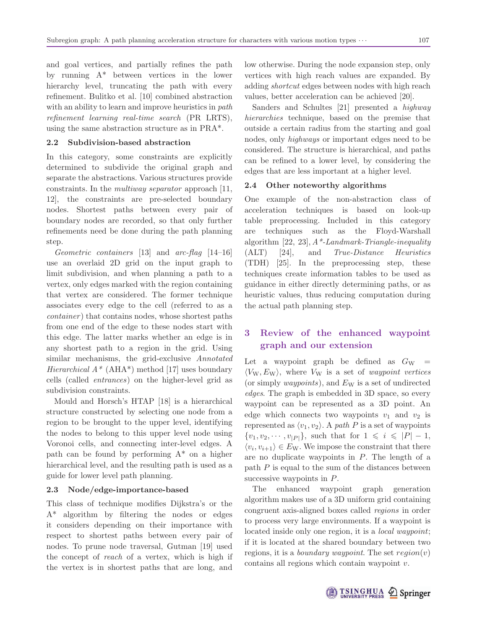and goal vertices, and partially refines the path by running A\* between vertices in the lower hierarchy level, truncating the path with every refinement. Bulitko et al. [10] combined abstraction with an ability to learn and improve heuristics in *path* refinement learning real-time search (PR LRTS), using the same abstraction structure as in PRA\*.

## **2.2 Subdivision-based abstraction**

In this category, some constraints are explicitly determined to subdivide the original graph and separate the abstractions. Various structures provide constraints. In the multiway separator approach [11, 12], the constraints are pre-selected boundary nodes. Shortest paths between every pair of boundary nodes are recorded, so that only further refinements need be done during the path planning step.

Geometric containers [13] and arc-flag [14–16] use an overlaid 2D grid on the input graph to limit subdivision, and when planning a path to a vertex, only edges marked with the region containing that vertex are considered. The former technique associates every edge to the cell (referred to as a container) that contains nodes, whose shortest paths from one end of the edge to these nodes start with this edge. The latter marks whether an edge is in any shortest path to a region in the grid. Using similar mechanisms, the grid-exclusive *Annotated* Hierarchical  $A^*$  (AHA<sup>\*</sup>) method [17] uses boundary cells (called entrances) on the higher-level grid as subdivision constraints.

Mould and Horsch's HTAP [18] is a hierarchical structure constructed by selecting one node from a region to be brought to the upper level, identifying the nodes to belong to this upper level node using Voronoi cells, and connecting inter-level edges. A path can be found by performing  $A^*$  on a higher hierarchical level, and the resulting path is used as a guide for lower level path planning.

### **2.3 Node/edge-importance-based**

This class of technique modifies Dijkstra's or the A\* algorithm by filtering the nodes or edges it considers depending on their importance with respect to shortest paths between every pair of nodes. To prune node traversal, Gutman [19] used the concept of reach of a vertex, which is high if the vertex is in shortest paths that are long, and low otherwise. During the node expansion step, only vertices with high reach values are expanded. By adding shortcut edges between nodes with high reach values, better acceleration can be achieved [20].

Sanders and Schultes [21] presented a highway hierarchies technique, based on the premise that outside a certain radius from the starting and goal nodes, only highways or important edges need to be considered. The structure is hierarchical, and paths can be refined to a lower level, by considering the edges that are less important at a higher level.

### **2.4 Other noteworthy algorithms**

One example of the non-abstraction class of acceleration techniques is based on look-up table preprocessing. Included in this category are techniques such as the Floyd-Warshall algorithm  $[22, 23]$ ,  $A^*$ -Landmark-Triangle-inequality (ALT) [24], and True-Distance Heuristics (TDH) [25]. In the preprocessing step, these techniques create information tables to be used as guidance in either directly determining paths, or as heuristic values, thus reducing computation during the actual path planning step.

## **3 Review of the enhanced waypoint graph and our extension**

Let a waypoint graph be defined as  $G_W =$  $\langle V_W, E_W \rangle$ , where  $V_W$  is a set of *waypoint vertices* (or simply *waypoints*), and  $E_W$  is a set of undirected edges. The graph is embedded in 3D space, so every waypoint can be represented as a 3D point. An edge which connects two waypoints  $v_1$  and  $v_2$  is represented as  $\langle v_1, v_2 \rangle$ . A path P is a set of waypoints  $\{v_1, v_2, \cdots, v_{|P|}\},$  such that for  $1 \leq i \leq |P| - 1,$  $\langle v_i, v_{i+1} \rangle \in E_{\rm W}$ . We impose the constraint that there are no duplicate waypoints in  $P$ . The length of a path  $P$  is equal to the sum of the distances between successive waypoints in  $P$ .

The enhanced waypoint graph generation algorithm makes use of a 3D uniform grid containing congruent axis-aligned boxes called regions in order to process very large environments. If a waypoint is located inside only one region, it is a *local waypoint*; if it is located at the shared boundary between two regions, it is a *boundary waypoint*. The set  $region(v)$ contains all regions which contain waypoint v.

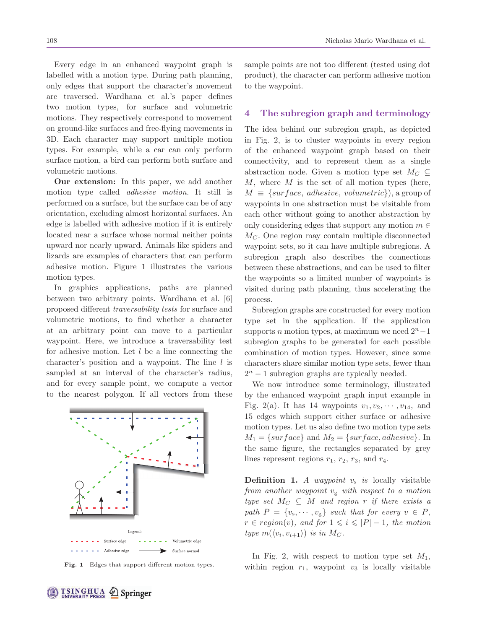Every edge in an enhanced waypoint graph is labelled with a motion type. During path planning, only edges that support the character's movement are traversed. Wardhana et al.'s paper defines two motion types, for surface and volumetric motions. They respectively correspond to movement on ground-like surfaces and free-flying movements in 3D. Each character may support multiple motion types. For example, while a car can only perform surface motion, a bird can perform both surface and volumetric motions.

**Our extension:** In this paper, we add another motion type called adhesive motion. It still is performed on a surface, but the surface can be of any orientation, excluding almost horizontal surfaces. An edge is labelled with adhesive motion if it is entirely located near a surface whose normal neither points upward nor nearly upward. Animals like spiders and lizards are examples of characters that can perform adhesive motion. Figure 1 illustrates the various motion types.

In graphics applications, paths are planned between two arbitrary points. Wardhana et al. [6] proposed different traversability tests for surface and volumetric motions, to find whether a character at an arbitrary point can move to a particular waypoint. Here, we introduce a traversability test for adhesive motion. Let  $l$  be a line connecting the character's position and a waypoint. The line  $l$  is sampled at an interval of the character's radius, and for every sample point, we compute a vector to the nearest polygon. If all vectors from these



**Fig. 1** Edges that support different motion types.

sample points are not too different (tested using dot product), the character can perform adhesive motion to the waypoint.

## **4 The subregion graph and terminology**

The idea behind our subregion graph, as depicted in Fig. 2, is to cluster waypoints in every region of the enhanced waypoint graph based on their connectivity, and to represent them as a single abstraction node. Given a motion type set  $M_C \subseteq$  $M$ , where  $M$  is the set of all motion types (here,  $M \equiv \{ \text{surface}, \text{adhesive}, \text{volumetric} \}$ , a group of waypoints in one abstraction must be visitable from each other without going to another abstraction by only considering edges that support any motion  $m \in$  $M<sub>C</sub>$ . One region may contain multiple disconnected waypoint sets, so it can have multiple subregions. A subregion graph also describes the connections between these abstractions, and can be used to filter the waypoints so a limited number of waypoints is visited during path planning, thus accelerating the process.

Subregion graphs are constructed for every motion type set in the application. If the application supports *n* motion types, at maximum we need  $2<sup>n</sup>−1$ subregion graphs to be generated for each possible combination of motion types. However, since some characters share similar motion type sets, fewer than  $2^n - 1$  subregion graphs are typically needed.

We now introduce some terminology, illustrated by the enhanced waypoint graph input example in Fig. 2(a). It has 14 waypoints  $v_1, v_2, \dots, v_{14}$ , and 15 edges which support either surface or adhesive motion types. Let us also define two motion type sets  $M_1 = \{surface\}$  and  $M_2 = \{surface, adhesive\}$ . In the same figure, the rectangles separated by grey lines represent regions  $r_1$ ,  $r_2$ ,  $r_3$ , and  $r_4$ .

**Definition 1.** A waypoint  $v_s$  is locally visitable from another waypoint  $v_{\rm g}$  with respect to a motion type set  $M_C \subseteq M$  and region r if there exists a path  $P = \{v_s, \dots, v_g\}$  such that for every  $v \in P$ ,  $r \in region(v)$ , and for  $1 \leqslant i \leqslant |P| - 1$ , the motion type  $m(\langle v_i, v_{i+1} \rangle)$  is in  $M_C$ .

In Fig. 2, with respect to motion type set  $M_1$ , within region  $r_1$ , waypoint  $v_3$  is locally visitable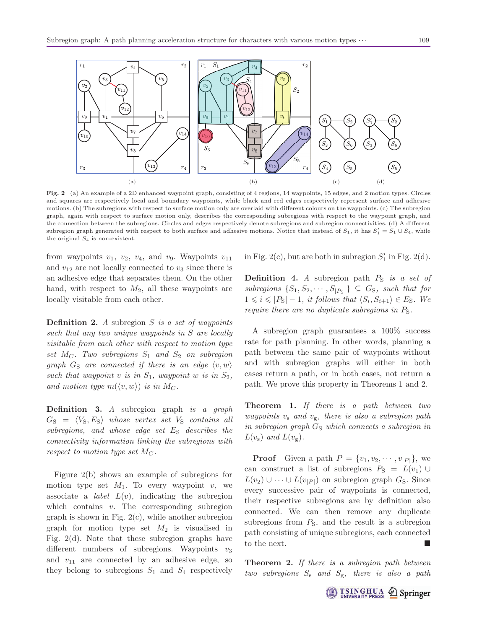

**Fig. 2** (a) An example of a 2D enhanced waypoint graph, consisting of 4 regions, 14 waypoints, 15 edges, and 2 motion types. Circles and squares are respectively local and boundary waypoints, while black and red edges respectively represent surface and adhesive motions. (b) The subregions with respect to surface motion only are overlaid with different colours on the waypoints. (c) The subregion graph, again with respect to surface motion only, describes the corresponding subregions with respect to the waypoint graph, and the connection between the subregions. Circles and edges respectively denote subregions and subregion connectivities. (d) A different subregion graph generated with respect to both surface and adhesive motions. Notice that instead of  $S_1$ , it has  $S'_1 = S_1 \cup S_4$ , while the original  $S_4$  is non-existent.

from waypoints  $v_1$ ,  $v_2$ ,  $v_4$ , and  $v_9$ . Waypoints  $v_{11}$ and  $v_{12}$  are not locally connected to  $v_3$  since there is an adhesive edge that separates them. On the other hand, with respect to  $M_2$ , all these waypoints are locally visitable from each other.

**Definition 2.** A subregion S is a set of waypoints such that any two unique waypoints in S are locally visitable from each other with respect to motion type set  $M_C$ . Two subregions  $S_1$  and  $S_2$  on subregion graph  $G_{\rm S}$  are connected if there is an edge  $\langle v, w \rangle$ such that waypoint v is in  $S_1$ , waypoint w is in  $S_2$ , and motion type  $m(\langle v, w \rangle)$  is in  $M_C$ .

**Definition 3.** A subregion graph is a graph  $G_{\rm S} = \langle V_{\rm S}, E_{\rm S} \rangle$  whose vertex set  $V_{\rm S}$  contains all subregions, and whose edge set  $E<sub>S</sub>$  describes the connectivity information linking the subregions with respect to motion type set  $M_C$ .

Figure 2(b) shows an example of subregions for motion type set  $M_1$ . To every waypoint v, we associate a *label*  $L(v)$ , indicating the subregion which contains  $v$ . The corresponding subregion graph is shown in Fig.  $2(c)$ , while another subregion graph for motion type set  $M_2$  is visualised in Fig. 2(d). Note that these subregion graphs have different numbers of subregions. Waypoints  $v_3$ and  $v_{11}$  are connected by an adhesive edge, so they belong to subregions  $S_1$  and  $S_4$  respectively

in Fig. 2(c), but are both in subregion  $S'_1$  in Fig. 2(d).

**Definition 4.** A subregion path  $P<sub>S</sub>$  is a set of subregions  $\{S_1, S_2, \cdots, S_{|P_S|}\} \subseteq G_S$ , such that for  $1 \leq i \leq |P_{\rm S}| - 1$ , it follows that  $\langle S_i, S_{i+1} \rangle \in E_{\rm S}$ . We require there are no duplicate subregions in  $P_{\rm S}$ .

A subregion graph guarantees a 100% success rate for path planning. In other words, planning a path between the same pair of waypoints without and with subregion graphs will either in both cases return a path, or in both cases, not return a path. We prove this property in Theorems 1 and 2.

**Theorem 1.** If there is a path between two waypoints  $v_s$  and  $v_g$ , there is also a subregion path in subregion graph  $G_S$  which connects a subregion in  $L(v_{\rm s})$  and  $L(v_{\rm g})$ .

**Proof** Given a path  $P = \{v_1, v_2, \dots, v_{|P|}\}\$ , we can construct a list of subregions  $P_S = L(v_1) \cup$  $L(v_2) \cup \cdots \cup L(v_{|P|})$  on subregion graph  $G_S$ . Since every successive pair of waypoints is connected, their respective subregions are by definition also connected. We can then remove any duplicate subregions from  $P<sub>S</sub>$ , and the result is a subregion path consisting of unique subregions, each connected to the next.

**Theorem 2.** If there is a subregion path between two subregions  $S_s$  and  $S_g$ , there is also a path

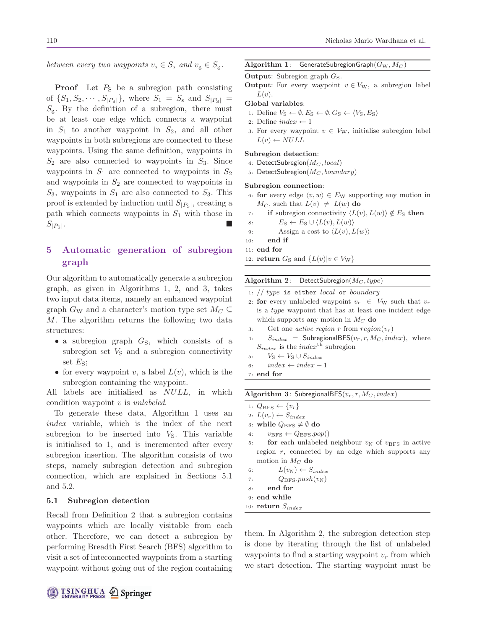between every two waypoints  $v_s \in S_s$  and  $v_g \in S_g$ .

**Proof** Let  $P_S$  be a subregion path consisting of  $\{S_1, S_2, \cdots, S_{|P_{\mathcal{S}}|}\}\$ , where  $S_1 = S_{\mathcal{S}}$  and  $S_{|P_{\mathcal{S}}|}$  $S_{\rm g}$ . By the definition of a subregion, there must be at least one edge which connects a waypoint in  $S_1$  to another waypoint in  $S_2$ , and all other waypoints in both subregions are connected to these waypoints. Using the same definition, waypoints in  $S_2$  are also connected to waypoints in  $S_3$ . Since waypoints in  $S_1$  are connected to waypoints in  $S_2$ and waypoints in  $S_2$  are connected to waypoints in  $S_3$ , waypoints in  $S_1$  are also connected to  $S_3$ . This proof is extended by induction until  $S_{|P_{\rm S}|}$ , creating a path which connects waypoints in  $S_1$  with those in  $S_{|P_{\rm S}|}$ .

## **5 Automatic generation of subregion graph**

Our algorithm to automatically generate a subregion graph, as given in Algorithms 1, 2, and 3, takes two input data items, namely an enhanced waypoint graph  $G_W$  and a character's motion type set  $M_C \subseteq$ M. The algorithm returns the following two data structures:

- a subregion graph  $G<sub>S</sub>$ , which consists of a subregion set  $V<sub>S</sub>$  and a subregion connectivity set  $E_{\rm S}$ ;
- for every waypoint v, a label  $L(v)$ , which is the subregion containing the waypoint.

All labels are initialised as NULL, in which condition waypoint  $v$  is *unlabeled*.

To generate these data, Algorithm 1 uses an index variable, which is the index of the next subregion to be inserted into  $V<sub>S</sub>$ . This variable is initialised to 1, and is incremented after every subregion insertion. The algorithm consists of two steps, namely subregion detection and subregion connection, which are explained in Sections 5.1 and 5.2.

### **5.1 Subregion detection**

Recall from Definition 2 that a subregion contains waypoints which are locally visitable from each other. Therefore, we can detect a subregion by performing Breadth First Search (BFS) algorithm to visit a set of inteconnected waypoints from a starting waypoint without going out of the region containing

#### **Algorithm 1:** GenerateSubregionGraph( $G_W, M_C$ )

```
Output: Subregion graph G_S.
```
**Output**: For every waypoint  $v \in V_W$ , a subregion label  $L(v)$ .

### **Global variables**:

- 1: Define  $V_S \leftarrow \emptyset, E_S \leftarrow \emptyset, G_S \leftarrow \langle V_S, E_S \rangle$
- 2: Define  $index \leftarrow 1$
- 3: For every waypoint  $v \in V_W$ , initialise subregion label  $L(v) \leftarrow NULL$

### **Subregion detection**:

- 4: DetectSubregion( $M_C$ , local)
- 5: DetectSubregion( $M_C$ , boundary)

#### **Subregion connection**:

motion in  $M_C$  do 6:  $L(v_N) \leftarrow S_{index}$ 7:  $Q_{\text{BFS}}.push(v_N)$ 

8: **end for** 9: **end while** 10:  $return S_{index}$ 

- 6: **for** every edge  $\langle v, w \rangle \in E_W$  supporting any motion in  $M_C$ , such that  $L(v) \neq L(w)$  do
- 7: **if** subregion connectivity  $\langle L(v), L(w) \rangle \notin E_S$  then
- 8:  $E_S \leftarrow E_S \cup \langle L(v), L(w) \rangle$ <br>9. Assign a cost to  $\langle L(v), L(w) \rangle$
- 9: Assign a cost to  $\langle L(v), L(w) \rangle$ <br>10: **end if**
- end if
- 11: **end for**
- 12: **return**  $G_S$  and  $\{L(v)|v \in V_W\}$

#### **Algorithm 2:** DetectSubregion( $M_C$ , type)

|    | 1: $// type$ is either <i>local</i> or <i>boundary</i>        |
|----|---------------------------------------------------------------|
|    | 2. for every unlabeled waypoint $v_r \in V_W$ such that $v_r$ |
|    | is a <i>type</i> waypoint that has at least one incident edge |
|    | which supports any motion in $M_C$ do                         |
| 3: | Get one <i>active region</i> r from $region(v_r)$             |
| 4: | $S_{index}$ = SubregionalBFS( $v_r, r, M_C, index$ ), where   |
|    | $S_{index}$ is the <i>index</i> <sup>th</sup> subregion       |
|    | 5: $V_{\rm S} \leftarrow V_{\rm S} \cup S_{index}$            |
| 6: | $index \leftarrow index + 1$                                  |
|    |                                                               |
|    | $7:$ end for                                                  |
|    |                                                               |
|    | <b>Algorithm 3:</b> SubregionalBFS $(v_r, r, M_C, index)$     |
|    | 1: $Q_{\text{BFS}} \leftarrow \{v_r\}$                        |
|    | 2: $L(v_r) \leftarrow S_{index}$                              |
|    | 3: while $Q_{\text{BFS}} \neq \emptyset$ do                   |
|    | 4: $v_{\text{BFS}} \leftarrow Q_{\text{BFS}} . pop()$         |
| 5: | for each unlabeled neighbour $v_N$ of $v_{BFS}$ in active     |

them. In Algorithm 2, the subregion detection step is done by iterating through the list of unlabeled waypoints to find a starting waypoint  $v_r$  from which we start detection. The starting waypoint must be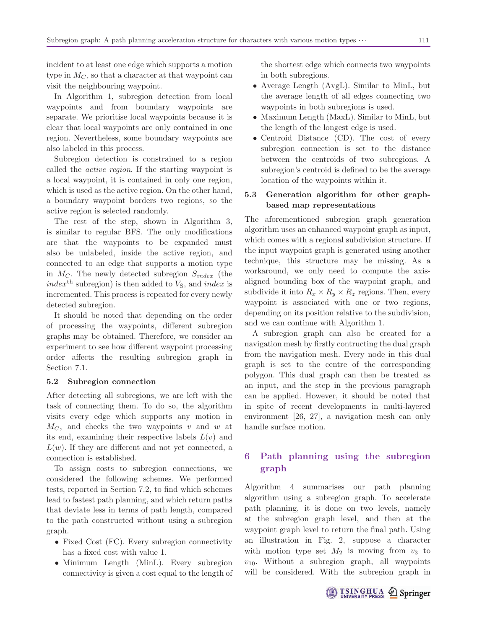incident to at least one edge which supports a motion type in  $M_C$ , so that a character at that waypoint can visit the neighbouring waypoint.

In Algorithm 1, subregion detection from local waypoints and from boundary waypoints are separate. We prioritise local waypoints because it is clear that local waypoints are only contained in one region. Nevertheless, some boundary waypoints are also labeled in this process.

Subregion detection is constrained to a region called the active region. If the starting waypoint is a local waypoint, it is contained in only one region, which is used as the active region. On the other hand, a boundary waypoint borders two regions, so the active region is selected randomly.

The rest of the step, shown in Algorithm 3, is similar to regular BFS. The only modifications are that the waypoints to be expanded must also be unlabeled, inside the active region, and connected to an edge that supports a motion type in  $M_C$ . The newly detected subregion  $S_{index}$  (the index<sup>th</sup> subregion) is then added to  $V<sub>S</sub>$ , and index is incremented. This process is repeated for every newly detected subregion.

It should be noted that depending on the order of processing the waypoints, different subregion graphs may be obtained. Therefore, we consider an experiment to see how different waypoint processing order affects the resulting subregion graph in Section 7.1.

### **5.2 Subregion connection**

After detecting all subregions, we are left with the task of connecting them. To do so, the algorithm visits every edge which supports any motion in  $M<sub>C</sub>$ , and checks the two waypoints v and w at its end, examining their respective labels  $L(v)$  and  $L(w)$ . If they are different and not yet connected, a connection is established.

To assign costs to subregion connections, we considered the following schemes. We performed tests, reported in Section 7.2, to find which schemes lead to fastest path planning, and which return paths that deviate less in terms of path length, compared to the path constructed without using a subregion graph.

- Fixed Cost (FC). Every subregion connectivity has a fixed cost with value 1.
- Minimum Length (MinL). Every subregion connectivity is given a cost equal to the length of

the shortest edge which connects two waypoints in both subregions.

- Average Length (AvgL). Similar to MinL, but the average length of all edges connecting two waypoints in both subregions is used.
- Maximum Length (MaxL). Similar to MinL, but the length of the longest edge is used.
- Centroid Distance (CD). The cost of every subregion connection is set to the distance between the centroids of two subregions. A subregion's centroid is defined to be the average location of the waypoints within it.

## **5.3 Generation algorithm for other graphbased map representations**

The aforementioned subregion graph generation algorithm uses an enhanced waypoint graph as input, which comes with a regional subdivision structure. If the input waypoint graph is generated using another technique, this structure may be missing. As a workaround, we only need to compute the axisaligned bounding box of the waypoint graph, and subdivide it into  $R_x \times R_y \times R_z$  regions. Then, every waypoint is associated with one or two regions, depending on its position relative to the subdivision, and we can continue with Algorithm 1.

A subregion graph can also be created for a navigation mesh by firstly contructing the dual graph from the navigation mesh. Every node in this dual graph is set to the centre of the corresponding polygon. This dual graph can then be treated as an input, and the step in the previous paragraph can be applied. However, it should be noted that in spite of recent developments in multi-layered environment [26, 27], a navigation mesh can only handle surface motion.

## **6 Path planning using the subregion graph**

Algorithm 4 summarises our path planning algorithm using a subregion graph. To accelerate path planning, it is done on two levels, namely at the subregion graph level, and then at the waypoint graph level to return the final path. Using an illustration in Fig. 2, suppose a character with motion type set  $M_2$  is moving from  $v_3$  to  $v_{10}$ . Without a subregion graph, all waypoints will be considered. With the subregion graph in

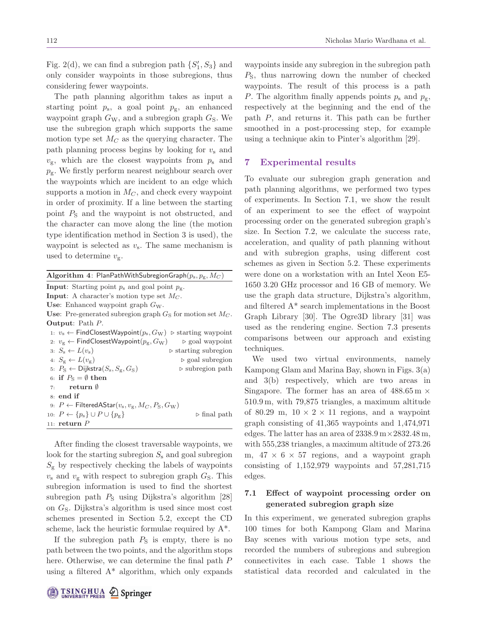Fig. 2(d), we can find a subregion path  $\{S_1, S_3\}$  and only consider waypoints in those subregions, thus considering fewer waypoints.

The path planning algorithm takes as input a starting point  $p_s$ , a goal point  $p_g$ , an enhanced waypoint graph  $G_W$ , and a subregion graph  $G_S$ . We use the subregion graph which supports the same motion type set  $M_C$  as the querying character. The path planning process begins by looking for  $v_s$  and  $v_{\rm g}$ , which are the closest waypoints from  $p_{\rm s}$  and  $p_{\rm g}$ . We firstly perform nearest neighbour search over the waypoints which are incident to an edge which supports a motion in  $M_C$ , and check every waypoint in order of proximity. If a line between the starting point  $P<sub>S</sub>$  and the waypoint is not obstructed, and the character can move along the line (the motion type identification method in Section 3 is used), the waypoint is selected as  $v_s$ . The same mechanism is used to determine  $v_{\rm g}$ .

| Algorithm 4: PlanPathWithSubregionGraph $(p_{\rm s}, p_{\rm g}, M_C)$                                     |  |
|-----------------------------------------------------------------------------------------------------------|--|
| <b>Input:</b> Starting point $p_s$ and goal point $p_g$ .                                                 |  |
| <b>Input:</b> A character's motion type set $M_C$ .                                                       |  |
| Use: Enhanced waypoint graph $G_W$ .                                                                      |  |
| <b>Use:</b> Pre-generated subregion graph $G_S$ for motion set $M_C$ .                                    |  |
| <b>Output:</b> Path $P$ .                                                                                 |  |
| 1: $v_s \leftarrow$ FindClosestWaypoint( $p_s$ , $G_W$ ) $\triangleright$ starting waypoint               |  |
| 2: $v_{\rm g} \leftarrow$ FindClosestWaypoint $(p_{\rm g}, G_{\rm W})$<br>$\triangleright$ goal waypoint  |  |
| $3: S_s \leftarrow L(v_s)$<br>$\triangleright$ starting subregion                                         |  |
| 4: $S_{\sigma} \leftarrow L(v_{\sigma})$<br>$\triangleright$ goal subregion                               |  |
| 5: $P_{\rm S} \leftarrow$ Dijkstra $(S_{\rm s}, S_{\rm g}, G_{\rm S})$<br>$\triangleright$ subregion path |  |
| 6: if $P_{\rm S} = \emptyset$ then                                                                        |  |
| ${\bf return}\ \emptyset$<br>7:                                                                           |  |
| $8:$ end if                                                                                               |  |
| 9: $P \leftarrow$ Filtered AStar $(v_{\rm s}, v_{\rm g}, M_C, P_{\rm S}, G_{\rm W})$                      |  |
| 10: $P \leftarrow \{p_{\rm s}\} \cup P \cup \{p_{\rm g}\}\$<br>$\triangleright$ final path                |  |
| 11: $return P$                                                                                            |  |

After finding the closest traversable waypoints, we look for the starting subregion  $S_s$  and goal subregion  $S_{\rm g}$  by respectively checking the labels of waypoints  $v<sub>s</sub>$  and  $v<sub>g</sub>$  with respect to subregion graph  $G<sub>S</sub>$ . This subregion information is used to find the shortest subregion path  $P<sub>S</sub>$  using Dijkstra's algorithm [28] on  $G<sub>S</sub>$ . Dijkstra's algorithm is used since most cost schemes presented in Section 5.2, except the CD scheme, lack the heuristic formulae required by  $A^*$ .

If the subregion path  $P<sub>S</sub>$  is empty, there is no path between the two points, and the algorithm stops here. Otherwise, we can determine the final path P using a filtered  $A^*$  algorithm, which only expands waypoints inside any subregion in the subregion path  $P<sub>S</sub>$ , thus narrowing down the number of checked waypoints. The result of this process is a path P. The algorithm finally appends points  $p_s$  and  $p_g$ , respectively at the beginning and the end of the path P, and returns it. This path can be further smoothed in a post-processing step, for example using a technique akin to Pinter's algorithm [29].

## **7 Experimental results**

To evaluate our subregion graph generation and path planning algorithms, we performed two types of experiments. In Section 7.1, we show the result of an experiment to see the effect of waypoint processing order on the generated subregion graph's size. In Section 7.2, we calculate the success rate, acceleration, and quality of path planning without and with subregion graphs, using different cost schemes as given in Section 5.2. These experiments were done on a workstation with an Intel Xeon E5- 1650 3.20 GHz processor and 16 GB of memory. We use the graph data structure, Dijkstra's algorithm, and filtered A\* search implementations in the Boost Graph Library [30]. The Ogre3D library [31] was used as the rendering engine. Section 7.3 presents comparisons between our approach and existing techniques.

We used two virtual environments, namely Kampong Glam and Marina Bay, shown in Figs. 3(a) and 3(b) respectively, which are two areas in Singapore. The former has an area of  $488.65\,\text{m}$   $\times$ 510.9 m, with 79,875 triangles, a maximum altitude of 80.29 m,  $10 \times 2 \times 11$  regions, and a waypoint graph consisting of 41,365 waypoints and 1,474,971 edges. The latter has an area of  $2338.9 \,\mathrm{m} \times 2832.48 \,\mathrm{m}$ , with 555,238 triangles, a maximum altitude of 273.26 m,  $47 \times 6 \times 57$  regions, and a waypoint graph consisting of  $1,152,979$  waypoints and  $57,281,715$ edges.

## **7.1 Effect of waypoint processing order on generated subregion graph size**

In this experiment, we generated subregion graphs 100 times for both Kampong Glam and Marina Bay scenes with various motion type sets, and recorded the numbers of subregions and subregion connectivites in each case. Table 1 shows the statistical data recorded and calculated in the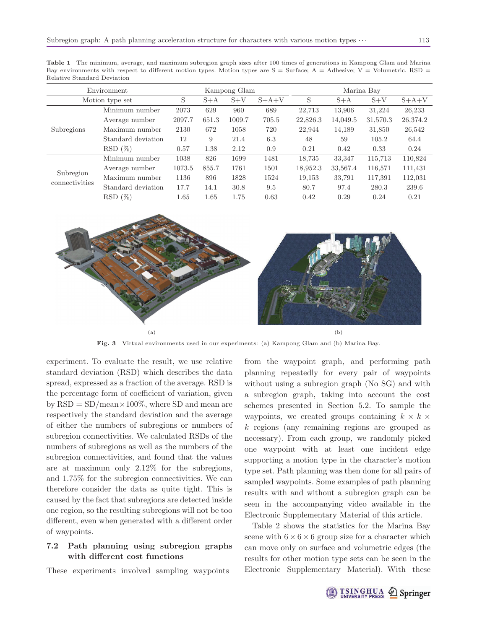**Table 1** The minimum, average, and maximum subregion graph sizes after 100 times of generations in Kampong Glam and Marina Bay environments with respect to different motion types. Motion types are  $S =$  Surface; A = Adhesive; V = Volumetric. RSD = Relative Standard Deviation

| Environment     | Kampong Glam       |        |       |        | Marina Bay |          |          |          |          |
|-----------------|--------------------|--------|-------|--------|------------|----------|----------|----------|----------|
| Motion type set |                    | S      | $S+A$ | $S+V$  | $S+A+V$    | S        | $S+A$    | $S+V$    | $S+A+V$  |
|                 | Minimum number     | 2073   | 629   | 960    | 689        | 22.713   | 13.906   | 31,224   | 26,233   |
|                 | Average number     | 2097.7 | 651.3 | 1009.7 | 705.5      | 22,826.3 | 14,049.5 | 31,570.3 | 26,374.2 |
| Subregions      | Maximum number     | 2130   | 672   | 1058   | 720        | 22,944   | 14,189   | 31,850   | 26,542   |
|                 | Standard deviation | 12     | 9     | 21.4   | 6.3        | 48       | 59       | 105.2    | 64.4     |
|                 | $RSD(\%)$          | 0.57   | 1.38  | 2.12   | 0.9        | 0.21     | 0.42     | 0.33     | 0.24     |
|                 | Minimum number     | 1038   | 826   | 1699   | 1481       | 18,735   | 33,347   | 115,713  | 110,824  |
| Subregion       | Average number     | 1073.5 | 855.7 | 1761   | 1501       | 18,952.3 | 33,567.4 | 116,571  | 111,431  |
| connectivities  | Maximum number     | 1136   | 896   | 1828   | 1524       | 19,153   | 33,791   | 117,391  | 112,031  |
|                 | Standard deviation | 17.7   | 14.1  | 30.8   | 9.5        | 80.7     | 97.4     | 280.3    | 239.6    |
|                 | $RSD(\%)$          | 1.65   | 1.65  | 1.75   | 0.63       | 0.42     | 0.29     | 0.24     | 0.21     |



**Fig. 3** Virtual environments used in our experiments: (a) Kampong Glam and (b) Marina Bay.

experiment. To evaluate the result, we use relative standard deviation (RSD) which describes the data spread, expressed as a fraction of the average. RSD is the percentage form of coefficient of variation, given by  $RSD = SD/mean \times 100\%$ , where SD and mean are respectively the standard deviation and the average of either the numbers of subregions or numbers of subregion connectivities. We calculated RSDs of the numbers of subregions as well as the numbers of the subregion connectivities, and found that the values are at maximum only 2.12% for the subregions, and 1.75% for the subregion connectivities. We can therefore consider the data as quite tight. This is caused by the fact that subregions are detected inside one region, so the resulting subregions will not be too different, even when generated with a different order of waypoints.

## **7.2 Path planning using subregion graphs with different cost functions**

These experiments involved sampling waypoints

from the waypoint graph, and performing path planning repeatedly for every pair of waypoints without using a subregion graph (No SG) and with a subregion graph, taking into account the cost schemes presented in Section 5.2. To sample the waypoints, we created groups containing  $k \times k \times$ k regions (any remaining regions are grouped as necessary). From each group, we randomly picked one waypoint with at least one incident edge supporting a motion type in the character's motion type set. Path planning was then done for all pairs of sampled waypoints. Some examples of path planning results with and without a subregion graph can be seen in the accompanying video available in the Electronic Supplementary Material of this article.

Table 2 shows the statistics for the Marina Bay scene with  $6 \times 6 \times 6$  group size for a character which can move only on surface and volumetric edges (the results for other motion type sets can be seen in the Electronic Supplementary Material). With these

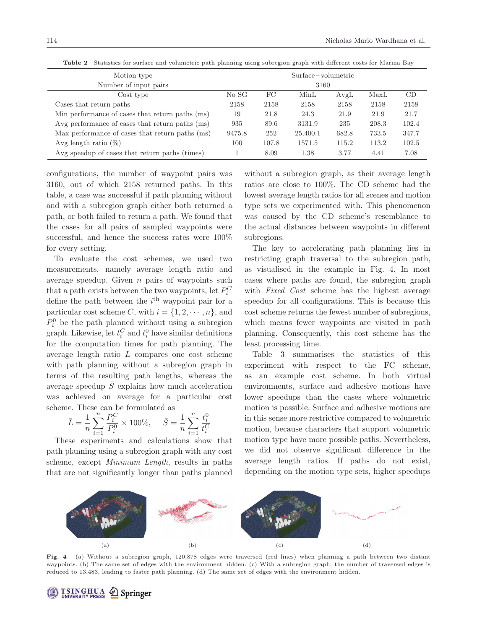|                                                 | $\sim$ | $\sim$ |          |       |       |       |  |
|-------------------------------------------------|--------|--------|----------|-------|-------|-------|--|
| Motion type                                     |        |        |          |       |       |       |  |
| Number of input pairs                           |        | 3160   |          |       |       |       |  |
| Cost type                                       | No SG  | FC     | MinL     | AvgL  | MaxL  | CD    |  |
| Cases that return paths                         | 2158   | 2158   | 2158     | 2158  | 2158  | 2158  |  |
| Min performance of cases that return paths (ms) | 19     | 21.8   | 24.3     | 21.9  | 21.9  | 21.7  |  |
| Avg performance of cases that return paths (ms) | 935    | 89.6   | 3131.9   | 235   | 208.3 | 102.4 |  |
| Max performance of cases that return paths (ms) | 9475.8 | 252    | 25,400.1 | 682.8 | 733.5 | 347.7 |  |
| Avg length ratio $(\%)$                         | 100    | 107.8  | 1571.5   | 115.2 | 113.2 | 102.5 |  |
| Avg speedup of cases that return paths (times)  |        | 8.09   | 1.38     | 3.77  | 4.41  | 7.08  |  |

**Table 2** Statistics for surface and volumetric path planning using subregion graph with different costs for Marina Bay

configurations, the number of waypoint pairs was 3160, out of which 2158 returned paths. In this table, a case was successful if path planning without and with a subregion graph either both returned a path, or both failed to return a path. We found that the cases for all pairs of sampled waypoints were successful, and hence the success rates were 100% for every setting.

To evaluate the cost schemes, we used two measurements, namely average length ratio and average speedup. Given  $n$  pairs of waypoints such that a path exists between the two waypoints, let  $P_i^C$ define the path between the  $i<sup>th</sup>$  waypoint pair for a particular cost scheme C, with  $i = \{1, 2, \dots, n\}$ , and  $P_i^0$  be the path planned without using a subregion graph. Likewise, let  $t_i^C$  and  $t_i^0$  have similar definitions for the computation times for path planning. The average length ratio  $\overline{L}$  compares one cost scheme with path planning without a subregion graph in terms of the resulting path lengths, whereas the average speedup  $\overline{S}$  explains how much acceleration was achieved on average for a particular cost scheme. These can be formulated as

$$
\bar{L} = \frac{1}{n} \sum_{i=1}^{n} \frac{P_i^C}{P_i^0} \times 100\%, \quad \bar{S} = \frac{1}{n} \sum_{i=1}^{n} \frac{t_i^0}{t_i^C}
$$

These experiments and calculations show that path planning using a subregion graph with any cost scheme, except Minimum Length, results in paths that are not significantly longer than paths planned without a subregion graph, as their average length ratios are close to 100%. The CD scheme had the lowest average length ratios for all scenes and motion type sets we experimented with. This phenomenon was caused by the CD scheme's resemblance to the actual distances between waypoints in different subregions.

The key to accelerating path planning lies in restricting graph traversal to the subregion path, as visualised in the example in Fig. 4. In most cases where paths are found, the subregion graph with *Fixed Cost* scheme has the highest average speedup for all configurations. This is because this cost scheme returns the fewest number of subregions, which means fewer waypoints are visited in path planning. Consequently, this cost scheme has the least processing time.

Table 3 summarises the statistics of this experiment with respect to the FC scheme, as an example cost scheme. In both virtual environments, surface and adhesive motions have lower speedups than the cases where volumetric motion is possible. Surface and adhesive motions are in this sense more restrictive compared to volumetric motion, because characters that support volumetric motion type have more possible paths. Nevertheless, we did not observe significant difference in the average length ratios. If paths do not exist, depending on the motion type sets, higher speedups



**Fig. 4** (a) Without a subregion graph, 120,878 edges were traversed (red lines) when planning a path between two distant waypoints. (b) The same set of edges with the environment hidden. (c) With a subregion graph, the number of traversed edges is reduced to 13,483, leading to faster path planning. (d) The same set of edges with the environment hidden.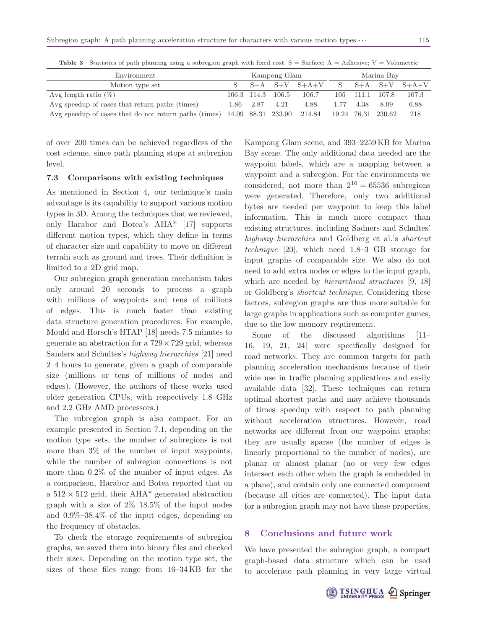| Environment                                                                                        |  | Kampong Glam |                   |                     |      | Marina Bay |       |               |  |
|----------------------------------------------------------------------------------------------------|--|--------------|-------------------|---------------------|------|------------|-------|---------------|--|
| Motion type set                                                                                    |  |              |                   | $S+A$ $S+V$ $S+A+V$ | S.   | $S+A$      |       | $S+V$ $S+A+V$ |  |
| Avg length ratio $(\%)$                                                                            |  |              | 106.3 114.3 106.5 | 106.7               | 105  | 111.1      | 107.8 | 107.3         |  |
| Avg speedup of cases that return paths (times)                                                     |  | 1.86 2.87    | 4.21              | 4.88                | 1.77 | 4.38       | 8.09  | 6.88          |  |
| Avg speedup of cases that do not return paths (times) 14.09 88.31 233.90 214.84 19.24 76.31 230.62 |  |              |                   |                     |      |            |       | 218           |  |

**Table 3** Statistics of path planning using a subregion graph with fixed cost.  $S = Surface$ ;  $A = Adhesive$ ;  $V = Volumetric$ 

of over 200 times can be achieved regardless of the cost scheme, since path planning stops at subregion level.

### **7.3 Comparisons with existing techniques**

As mentioned in Section 4, our technique's main advantage is its capability to support various motion types in 3D. Among the techniques that we reviewed, only Harabor and Botea's AHA\* [17] supports different motion types, which they define in terms of character size and capability to move on different terrain such as ground and trees. Their definition is limited to a 2D grid map.

Our subregion graph generation mechanism takes only around 20 seconds to process a graph with millions of waypoints and tens of millions of edges. This is much faster than existing data structure generation procedures. For example, Mould and Horsch's HTAP [18] needs 7.5 minutes to generate an abstraction for a  $729 \times 729$  grid, whereas Sanders and Schultes's highway hierarchies [21] need 2–4 hours to generate, given a graph of comparable size (millions or tens of millions of nodes and edges). (However, the authors of these works used older generation CPUs, with respectively 1.8 GHz and 2.2 GHz AMD processors.)

The subregion graph is also compact. For an example presented in Section 7.1, depending on the motion type sets, the number of subregions is not more than 3% of the number of input waypoints, while the number of subregion connections is not more than 0.2% of the number of input edges. As a comparison, Harabor and Botea reported that on a  $512 \times 512$  grid, their AHA\* generated abstraction graph with a size of  $2\%$ -18.5% of the input nodes and 0.9%–38.4% of the input edges, depending on the frequency of obstacles.

To check the storage requirements of subregion graphs, we saved them into binary files and checked their sizes. Depending on the motion type set, the sizes of these files range from 16–34 KB for the Kampong Glam scene, and 393–2259 KB for Marina Bay scene. The only additional data needed are the waypoint labels, which are a mapping between a waypoint and a subregion. For the environments we considered, not more than  $2^{16} = 65536$  subregions were generated. Therefore, only two additional bytes are needed per waypoint to keep this label information. This is much more compact than existing structures, including Sadners and Schultes' highway hierarchies and Goldberg et al.'s shortcut technique [20], which need 1.8–3 GB storage for input graphs of comparable size. We also do not need to add extra nodes or edges to the input graph, which are needed by *hierarchical structures* [9, 18] or Goldberg's shortcut technique. Considering these factors, subregion graphs are thus more suitable for large graphs in applications such as computer games, due to the low memory requirement.

Some of the discussed algorithms [11– 16, 19, 21, 24] were specifically designed for road networks. They are common targets for path planning acceleration mechanisms because of their wide use in traffic planning applications and easily available data [32]. These techniques can return optimal shortest paths and may achieve thousands of times speedup with respect to path planning without acceleration structures. However, road networks are different from our waypoint graphs: they are usually sparse (the number of edges is linearly proportional to the number of nodes), are planar or almost planar (no or very few edges intersect each other when the graph is embedded in a plane), and contain only one connected component (because all cities are connected). The input data for a subregion graph may not have these properties.

## **8 Conclusions and future work**

We have presented the subregion graph, a compact graph-based data structure which can be used to accelerate path planning in very large virtual

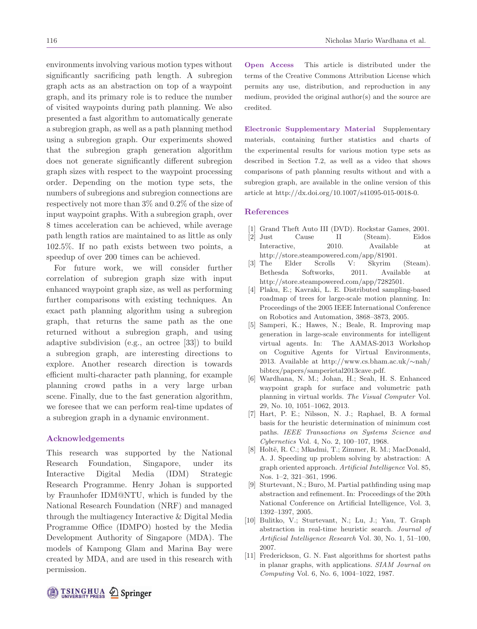environments involving various motion types without significantly sacrificing path length. A subregion graph acts as an abstraction on top of a waypoint graph, and its primary role is to reduce the number of visited waypoints during path planning. We also presented a fast algorithm to automatically generate a subregion graph, as well as a path planning method using a subregion graph. Our experiments showed that the subregion graph generation algorithm does not generate significantly different subregion graph sizes with respect to the waypoint processing order. Depending on the motion type sets, the numbers of subregions and subregion connections are respectively not more than 3% and 0.2% of the size of input waypoint graphs. With a subregion graph, over 8 times acceleration can be achieved, while average path length ratios are maintained to as little as only 102.5%. If no path exists between two points, a speedup of over 200 times can be achieved.

For future work, we will consider further correlation of subregion graph size with input enhanced waypoint graph size, as well as performing further comparisons with existing techniques. An exact path planning algorithm using a subregion graph, that returns the same path as the one returned without a subregion graph, and using adaptive subdivision (e.g., an octree [33]) to build a subregion graph, are interesting directions to explore. Another research direction is towards efficient multi-character path planning, for example planning crowd paths in a very large urban scene. Finally, due to the fast generation algorithm, we foresee that we can perform real-time updates of a subregion graph in a dynamic environment.

### **Acknowledgements**

This research was supported by the National Research Foundation, Singapore, under its Interactive Digital Media (IDM) Strategic Research Programme. Henry Johan is supported by Fraunhofer IDM@NTU, which is funded by the National Research Foundation (NRF) and managed through the multiagency Interactive & Digital Media Programme Office (IDMPO) hosted by the Media Development Authority of Singapore (MDA). The models of Kampong Glam and Marina Bay were created by MDA, and are used in this research with permission.

**Open Access** This article is distributed under the terms of the Creative Commons Attribution License which permits any use, distribution, and reproduction in any medium, provided the original author(s) and the source are credited.

**Electronic Supplementary Material** Supplementary materials, containing further statistics and charts of the experimental results for various motion type sets as described in Section 7.2, as well as a video that shows comparisons of path planning results without and with a subregion graph, are available in the online version of this article at http://dx.doi.org/10.1007/s41095-015-0018-0.

### **References**

- [1] Grand Theft Auto III (DVD). Rockstar Games, 2001.
- [2] Just Cause II (Steam). Eidos Interactive, 2010. Available at http://store.steampowered.com/app/81901.
- [3] The Elder Scrolls V: Skyrim (Steam). Bethesda Softworks, 2011. Available at http://store.steampowered.com/app/7282501.
- [4] Plaku, E.; Kavraki, L. E. Distributed sampling-based roadmap of trees for large-scale motion planning. In: Proceedings of the 2005 IEEE International Conference on Robotics and Automation, 3868–3873, 2005.
- [5] Samperi, K.; Hawes, N.; Beale, R. Improving map generation in large-scale environments for intelligent virtual agents. In: The AAMAS-2013 Workshop on Cognitive Agents for Virtual Environments, 2013. Available at http://www.cs.bham.ac.uk/∼nah/ bibtex/papers/samperietal2013cave.pdf.
- [6] Wardhana, N. M.; Johan, H.; Seah, H. S. Enhanced waypoint graph for surface and volumetric path planning in virtual worlds. The Visual Computer Vol. 29, No. 10, 1051–1062, 2013.
- [7] Hart, P. E.; Nilsson, N. J.; Raphael, B. A formal basis for the heuristic determination of minimum cost paths. IEEE Transactions on Systems Science and Cybernetics Vol. 4, No. 2, 100–107, 1968.
- [8] Holtë, R. C.; Mkadmi, T.; Zimmer, R. M.; MacDonald, A. J. Speeding up problem solving by abstraction: A graph oriented approach. Artificial Intelligence Vol. 85, Nos. 1–2, 321–361, 1996.
- [9] Sturtevant, N.; Buro, M. Partial pathfinding using map abstraction and refinement. In: Proceedings of the 20th National Conference on Artificial Intelligence, Vol. 3, 1392–1397, 2005.
- [10] Bulitko, V.; Sturtevant, N.; Lu, J.; Yau, T. Graph abstraction in real-time heuristic search. Journal of Artificial Intelligence Research Vol. 30, No. 1, 51–100, 2007.
- [11] Frederickson, G. N. Fast algorithms for shortest paths in planar graphs, with applications. SIAM Journal on Computing Vol. 6, No. 6, 1004–1022, 1987.

# TSINGHUA 2 Springer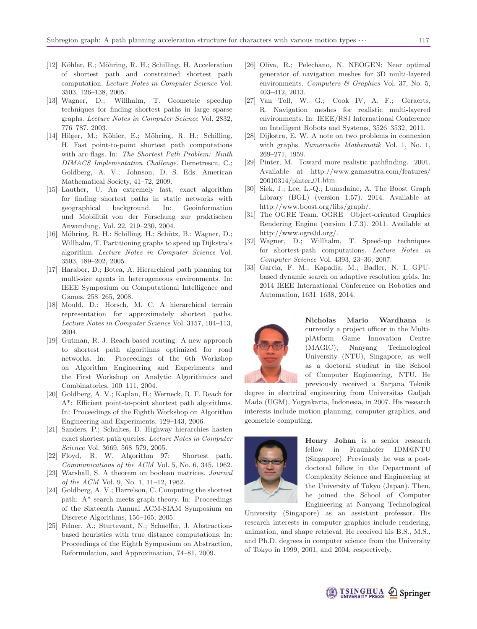- [12] Köhler, E.; Möhring, R. H.; Schilling, H. Acceleration of shortest path and constrained shortest path computation. Lecture Notes in Computer Science Vol. 3503, 126–138, 2005.
- [13] Wagner, D.; Willhalm, T. Geometric speedup techniques for finding shortest paths in large sparse graphs. Lecture Notes in Computer Science Vol. 2832, 776–787, 2003.
- [14] Hilger, M.; Köhler, E.; Möhring, R. H.; Schilling, H. Fast point-to-point shortest path computations with arc-flags. In: The Shortest Path Problem: Ninth DIMACS Implementation Challenge. Demetrescu, C.; Goldberg, A. V.; Johnson, D. S. Eds. American Mathematical Society, 41–72, 2009.
- [15] Lauther, U. An extremely fast, exact algorithm for finding shortest paths in static networks with geographical background. In: Geoinformation und Mobilität-von der Forschung zur praktischen Anwendung, Vol. 22, 219–230, 2004.
- [16] Möhring, R. H.; Schilling, H.; Schütz, B.; Wagner, D.; Willhalm, T. Partitioning graphs to speed up Dijkstra's algorithm. Lecture Notes in Computer Science Vol. 3503, 189–202, 2005.
- [17] Harabor, D.; Botea, A. Hierarchical path planning for multi-size agents in heterogeneous environments. In: IEEE Symposium on Computational Intelligence and Games, 258–265, 2008.
- [18] Mould, D.; Horsch, M. C. A hierarchical terrain representation for approximately shortest paths. Lecture Notes in Computer Science Vol. 3157, 104–113, 2004.
- [19] Gutman, R. J. Reach-based routing: A new approach to shortest path algorithms optimized for road networks. In: Proceedings of the 6th Workshop on Algorithm Engineering and Experiments and the First Workshop on Analytic Algorithmics and Combinatorics, 100–111, 2004.
- [20] Goldberg, A. V.; Kaplan, H.; Werneck, R. F. Reach for A\*: Efficient point-to-point shortest path algorithms. In: Proceedings of the Eighth Workshop on Algorithm Engineering and Experiments, 129–143, 2006.
- [21] Sanders, P.; Schultes, D. Highway hierarchies hasten exact shortest path queries. Lecture Notes in Computer Science Vol. 3669, 568–579, 2005.
- [22] Floyd, R. W. Algorithm 97: Shortest path. Communications of the ACM Vol. 5, No. 6, 345, 1962.
- [23] Warshall, S. A theorem on boolean matrices. Journal of the ACM Vol. 9, No. 1, 11–12, 1962.
- [24] Goldberg, A. V.; Harrelson, C. Computing the shortest path: A\* search meets graph theory. In: Proceedings of the Sixteenth Annual ACM-SIAM Symposium on Discrete Algorithms, 156–165, 2005.
- [25] Felner, A.; Sturtevant, N.; Schaeffer, J. Abstractionbased heuristics with true distance computations. In: Proceedings of the Eighth Symposium on Abstraction, Reformulation, and Approximation, 74–81, 2009.
- [26] Oliva, R.; Pelechano, N. NEOGEN: Near optimal generator of navigation meshes for 3D multi-layered environments. Computers  $\mathcal C$  Graphics Vol. 37, No. 5, 403–412, 2013.
- [27] Van Toll, W. G.; Cook IV, A. F.; Geraerts, R. Navigation meshes for realistic multi-layered environments. In: IEEE/RSJ International Conference on Intelligent Robots and Systems, 3526–3532, 2011.
- [28] Dijkstra, E. W. A note on two problems in connexion with graphs. Numerische Mathematik Vol. 1, No. 1, 269–271, 1959.
- [29] Pinter, M. Toward more realistic pathfinding. 2001. Available at http://www.gamasutra.com/features/ 20010314/pinter 01.htm.
- [30] Siek, J.; Lee, L.-Q.; Lumsdaine, A. The Boost Graph Library (BGL) (version 1.57). 2014. Available at http://www.boost.org/libs/graph/.
- [31] The OGRE Team. OGRE—Object-oriented Graphics Rendering Engine (version 1.7.3). 2011. Available at http://www.ogre3d.org/.
- [32] Wagner, D.; Willhalm, T. Speed-up techniques for shortest-path computations. Lecture Notes in Computer Science Vol. 4393, 23–36, 2007.
- [33] Garcia, F. M.; Kapadia, M.; Badler, N. I. GPUbased dynamic search on adaptive resolution grids. In: 2014 IEEE International Conference on Robotics and Automation, 1631–1638, 2014.



**Nicholas Mario Wardhana** currently a project officer in the MultiplAtform Game Innovation Centre (MAGIC), Nanyang Technological University (NTU), Singapore, as well as a doctoral student in the School of Computer Engineering, NTU. He previously received a Sarjana Teknik

degree in electrical engineering from Universitas Gadjah Mada (UGM), Yogyakarta, Indonesia, in 2007. His research interests include motion planning, computer graphics, and geometric computing.



**Henry Johan** is a senior research fellow in Fraunhofer IDM@NTU (Singapore). Previously he was a postdoctoral fellow in the Department of Complexity Science and Engineering at the University of Tokyo (Japan). Then, he joined the School of Computer Engineering at Nanyang Technological

University (Singapore) as an assistant professor. His research interests in computer graphics include rendering, animation, and shape retrieval. He received his B.S., M.S., and Ph.D. degrees in computer science from the University of Tokyo in 1999, 2001, and 2004, respectively.